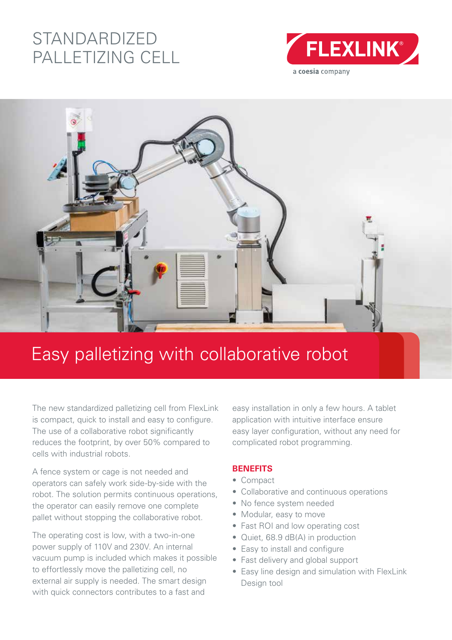## STANDARDIZED PALLETIZING CELL





# Easy palletizing with collaborative robot

The new standardized palletizing cell from FlexLink is compact, quick to install and easy to configure. The use of a collaborative robot significantly reduces the footprint, by over 50% compared to cells with industrial robots.

A fence system or cage is not needed and operators can safely work side-by-side with the robot. The solution permits continuous operations, the operator can easily remove one complete pallet without stopping the collaborative robot.

The operating cost is low, with a two-in-one power supply of 110V and 230V. An internal vacuum pump is included which makes it possible to effortlessly move the palletizing cell, no external air supply is needed. The smart design with quick connectors contributes to a fast and

easy installation in only a few hours. A tablet application with intuitive interface ensure easy layer configuration, without any need for complicated robot programming.

#### **BENEFITS**

- Compact
- Collaborative and continuous operations
- No fence system needed
- Modular, easy to move
- Fast ROI and low operating cost
- Quiet, 68.9 dB(A) in production
- Easy to install and configure
- Fast delivery and global support
- Easy line design and simulation with FlexLink Design tool